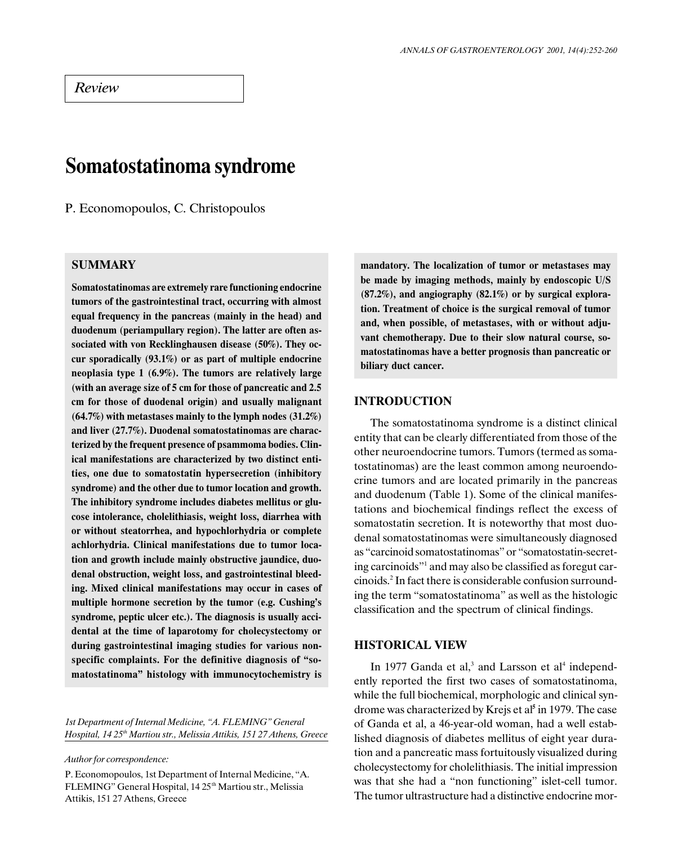# Somatostatinoma syndrome

P. Economopoulos, C. Christopoulos

## **SUMMARY**

Somatostatinomas are extremely rare functioning endocrine tumors of the gastrointestinal tract, occurring with almost equal frequency in the pancreas (mainly in the head) and duodenum (periampullary region). The latter are often associated with von Recklinghausen disease (50%). They occur sporadically (93.1%) or as part of multiple endocrine neoplasia type 1 (6.9%). The tumors are relatively large (with an average size of 5 cm for those of pancreatic and 2.5 cm for those of duodenal origin) and usually malignant (64.7%) with metastases mainly to the lymph nodes (31.2%) and liver (27.7%). Duodenal somatostatinomas are characterized by the frequent presence of psammoma bodies. Clinical manifestations are characterized by two distinct entities, one due to somatostatin hypersecretion (inhibitory syndrome) and the other due to tumor location and growth. The inhibitory syndrome includes diabetes mellitus or glucose intolerance, cholelithiasis, weight loss, diarrhea with or without steatorrhea, and hypochlorhydria or complete achlorhydria. Clinical manifestations due to tumor location and growth include mainly obstructive jaundice, duodenal obstruction, weight loss, and gastrointestinal bleeding. Mixed clinical manifestations may occur in cases of multiple hormone secretion by the tumor (e.g. Cushing's syndrome, peptic ulcer etc.). The diagnosis is usually accidental at the time of laparotomy for cholecystectomy or during gastrointestinal imaging studies for various nonspecific complaints. For the definitive diagnosis of "somatostatinoma" histology with immunocytochemistry is

1st Department of Internal Medicine, "A. FLEMING" General Hospital, 14 25<sup>th</sup> Martiou str., Melissia Attikis, 151 27 Athens, Greece

Author for correspondence:

P. Economopoulos, 1st Department of Internal Medicine, "A. FLEMING" General Hospital, 14 25<sup>th</sup> Martiou str., Melissia Attikis, 151 27 Athens, Greece

mandatory. The localization of tumor or metastases may be made by imaging methods, mainly by endoscopic U/S (87.2%), and angiography (82.1%) or by surgical exploration. Treatment of choice is the surgical removal of tumor and, when possible, of metastases, with or without adjuvant chemotherapy. Due to their slow natural course, somatostatinomas have a better prognosis than pancreatic or biliary duct cancer.

## INTRODUCTION

The somatostatinoma syndrome is a distinct clinical entity that can be clearly differentiated from those of the other neuroendocrine tumors. Tumors (termed as somatostatinomas) are the least common among neuroendocrine tumors and are located primarily in the pancreas and duodenum (Table 1). Some of the clinical manifestations and biochemical findings reflect the excess of somatostatin secretion. It is noteworthy that most duodenal somatostatinomas were simultaneously diagnosed as "carcinoid somatostatinomas" or "somatostatin-secreting carcinoids" and may also be classified as foregut carcinoids.2 In fact there is considerable confusion surrounding the term "somatostatinoma" as well as the histologic classification and the spectrum of clinical findings.

#### HISTORICAL VIEW

In 1977 Ganda et al, $3$  and Larsson et al<sup>4</sup> independently reported the first two cases of somatostatinoma, while the full biochemical, morphologic and clinical syndrome was characterized by Krejs et al<sup>5</sup> in 1979. The case of Ganda et al, a 46-year-old woman, had a well established diagnosis of diabetes mellitus of eight year duration and a pancreatic mass fortuitously visualized during cholecystectomy for cholelithiasis. The initial impression was that she had a "non functioning" islet-cell tumor. The tumor ultrastructure had a distinctive endocrine mor-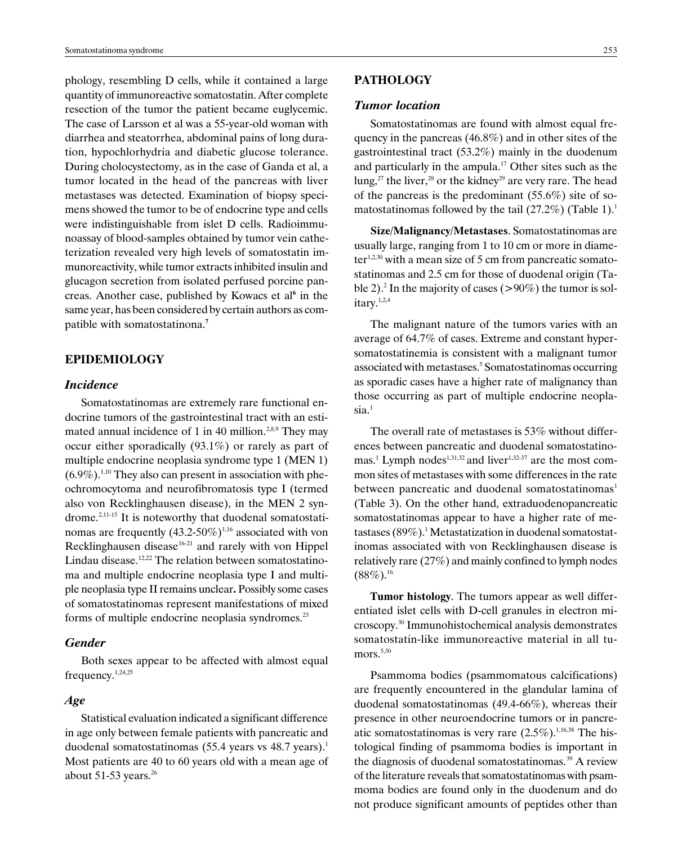phology, resembling D cells, while it contained a large quantity of immunoreactive somatostatin. After complete resection of the tumor the patient became euglycemic. The case of Larsson et al was a 55-year-old woman with diarrhea and steatorrhea, abdominal pains of long duration, hypochlorhydria and diabetic glucose tolerance. During cholocystectomy, as in the case of Ganda et al, a tumor located in the head of the pancreas with liver metastases was detected. Examination of biopsy specimens showed the tumor to be of endocrine type and cells were indistinguishable from islet D cells. Radioimmunoassay of blood-samples obtained by tumor vein catheterization revealed very high levels of somatostatin immunoreactivity, while tumor extracts inhibited insulin and glucagon secretion from isolated perfused porcine pancreas. Another case, published by Kowacs et al<sup>6</sup> in the same year, has been considered by certain authors as compatible with somatostatinona.<sup>7</sup>

## EPIDEMIOLOGY

#### Incidence

Somatostatinomas are extremely rare functional endocrine tumors of the gastrointestinal tract with an estimated annual incidence of 1 in 40 million.<sup>2,8,9</sup> They may occur either sporadically (93.1%) or rarely as part of multiple endocrine neoplasia syndrome type 1 (MEN 1)  $(6.9\%)$ <sup>1,10</sup> They also can present in association with pheochromocytoma and neurofibromatosis type I (termed also von Recklinghausen disease), in the MEN 2 syndrome.2,11-15 It is noteworthy that duodenal somatostatinomas are frequently  $(43.2\n-50\%)^{1,16}$  associated with von Recklinghausen disease $16-21$  and rarely with von Hippel Lindau disease.<sup>12,22</sup> The relation between somatostatinoma and multiple endocrine neoplasia type I and multiple neoplasia type II remains unclear. Possibly some cases of somatostatinomas represent manifestations of mixed forms of multiple endocrine neoplasia syndromes.<sup>23</sup>

## Gender

Both sexes appear to be affected with almost equal frequency.1,24,25

#### Age

Statistical evaluation indicated a significant difference in age only between female patients with pancreatic and duodenal somatostatinomas (55.4 years vs 48.7 years).<sup>1</sup> Most patients are 40 to 60 years old with a mean age of about 51-53 years.<sup>26</sup>

## PATHOLOGY

#### Tumor location

Somatostatinomas are found with almost equal frequency in the pancreas (46.8%) and in other sites of the gastrointestinal tract (53.2%) mainly in the duodenum and particularly in the ampula.<sup>17</sup> Other sites such as the lung,<sup>27</sup> the liver,<sup>28</sup> or the kidney<sup>29</sup> are very rare. The head of the pancreas is the predominant  $(55.6\%)$  site of somatostatinomas followed by the tail  $(27.2\%)$  (Table 1).<sup>1</sup>

Size/Malignancy/Metastases. Somatostatinomas are usually large, ranging from 1 to 10 cm or more in diame $ter<sup>1,2,30</sup>$  with a mean size of 5 cm from pancreatic somatostatinomas and 2.5 cm for those of duodenal origin (Table 2). 2 In the majority of cases (>90%) the tumor is solitary.<sup>1,2,4</sup>

The malignant nature of the tumors varies with an average of 64.7% of cases. Extreme and constant hypersomatostatinemia is consistent with a malignant tumor associated with metastases.<sup>5</sup> Somatostatinomas occurring as sporadic cases have a higher rate of malignancy than those occurring as part of multiple endocrine neoplasia.<sup>1</sup>

The overall rate of metastases is 53% without differences between pancreatic and duodenal somatostatinomas.<sup>1</sup> Lymph nodes<sup>1,31,32</sup> and liver<sup>1,32-37</sup> are the most common sites of metastases with some differences in the rate between pancreatic and duodenal somatostatinomas<sup>1</sup> (Table 3). On the other hand, extraduodenopancreatic somatostatinomas appear to have a higher rate of metastases (89%).1 Metastatization in duodenal somatostatinomas associated with von Recklinghausen disease is relatively rare (27%) and mainly confined to lymph nodes  $(88\%)$ <sup>16</sup>

Tumor histology. The tumors appear as well differentiated islet cells with D-cell granules in electron microscopy.30 Immunohistochemical analysis demonstrates somatostatin-like immunoreactive material in all tu $mors.<sup>5,30</sup>$ 

Psammoma bodies (psammomatous calcifications) are frequently encountered in the glandular lamina of duodenal somatostatinomas (49.4-66%), whereas their presence in other neuroendocrine tumors or in pancreatic somatostatinomas is very rare  $(2.5\%)$ <sup>1,16,38</sup> The histological finding of psammoma bodies is important in the diagnosis of duodenal somatostatinomas. $39$  A review of the literature reveals that somatostatinomas with psammoma bodies are found only in the duodenum and do not produce significant amounts of peptides other than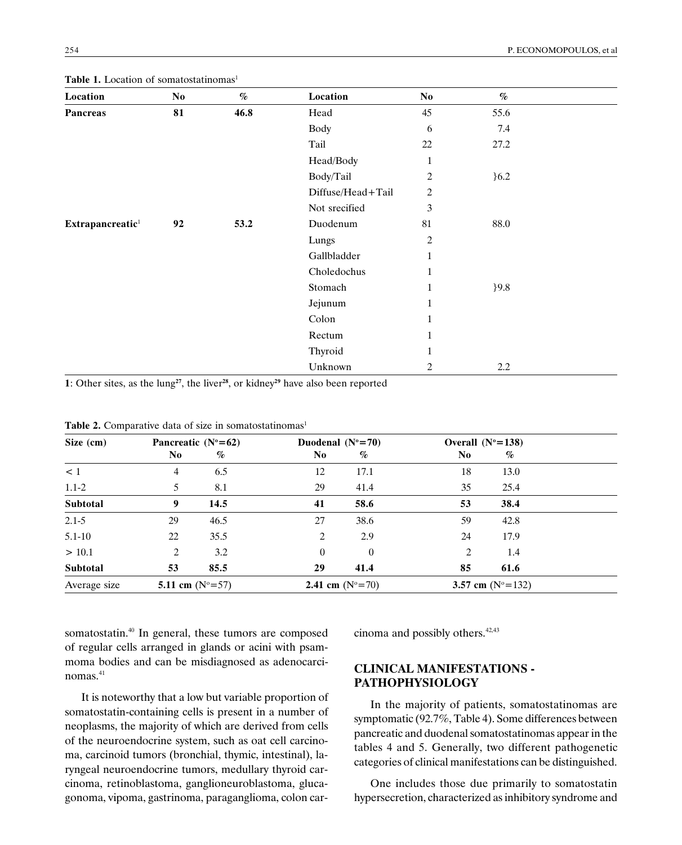| Location                     | No | $\%$ | Location          | $\bf No$       | $\%$   |  |
|------------------------------|----|------|-------------------|----------------|--------|--|
| <b>Pancreas</b>              | 81 | 46.8 | Head              | 45             | 55.6   |  |
|                              |    |      | Body              | 6              | 7.4    |  |
|                              |    |      | Tail              | 22             | 27.2   |  |
|                              |    |      | Head/Body         | $\mathbf{1}$   |        |  |
|                              |    |      | Body/Tail         | 2              | 6.2    |  |
|                              |    |      | Diffuse/Head+Tail | $\overline{c}$ |        |  |
|                              |    |      | Not srecified     | 3              |        |  |
| Extrapancreatic <sup>1</sup> | 92 | 53.2 | Duodenum          | 81             | 88.0   |  |
|                              |    |      | Lungs             | $\overline{c}$ |        |  |
|                              |    |      | Gallbladder       | $\mathbf{1}$   |        |  |
|                              |    |      | Choledochus       | $\mathbf{1}$   |        |  |
|                              |    |      | Stomach           | $\mathbf{1}$   | $}9.8$ |  |
|                              |    |      | Jejunum           | $\mathbf{1}$   |        |  |
|                              |    |      | Colon             | $\mathbf{1}$   |        |  |
|                              |    |      | Rectum            | $\mathbf{1}$   |        |  |
|                              |    |      | Thyroid           | $\mathbf{1}$   |        |  |
|                              |    |      | Unknown           | 2              | 2.2    |  |

Table 1. Location of somatostatinomas<sup>1</sup>

1: Other sites, as the lung<sup>27</sup>, the liver<sup>28</sup>, or kidney<sup>29</sup> have also been reported

| Size (cm)    |                | Pancreatic $(N^{\circ}=62)$ |                | Duodenal $(N^{\circ}=70)$ |                | Overall $(N^{\circ}=138)$   |  |
|--------------|----------------|-----------------------------|----------------|---------------------------|----------------|-----------------------------|--|
|              | N <sub>0</sub> | %                           | N <sub>0</sub> | $\%$                      | N <sub>0</sub> | %                           |  |
| $\leq 1$     | 4              | 6.5                         | 12             | 17.1                      | 18             | 13.0                        |  |
| $1.1 - 2$    | 5              | 8.1                         | 29             | 41.4                      | 35             | 25.4                        |  |
| Subtotal     | 9              | 14.5                        | 41             | 58.6                      | 53             | 38.4                        |  |
| $2.1 - 5$    | 29             | 46.5                        | 27             | 38.6                      | 59             | 42.8                        |  |
| $5.1 - 10$   | 22             | 35.5                        | 2              | 2.9                       | 24             | 17.9                        |  |
| > 10.1       | 2              | 3.2                         | $\Omega$       | $\boldsymbol{0}$          | 2              | 1.4                         |  |
| Subtotal     | 53             | 85.5                        | 29             | 41.4                      | 85             | 61.6                        |  |
| Average size |                | 5.11 cm $(N^{\circ} = 57)$  |                | 2.41 cm $(N^{\circ}=70)$  |                | 3.57 cm $(N^{\circ} = 132)$ |  |

| <b>Table 2.</b> Comparative data of size in somatostatinomas <sup>1</sup> |  |
|---------------------------------------------------------------------------|--|
|---------------------------------------------------------------------------|--|

somatostatin.<sup>40</sup> In general, these tumors are composed of regular cells arranged in glands or acini with psammoma bodies and can be misdiagnosed as adenocarcinomas.<sup>41</sup>

It is noteworthy that a low but variable proportion of somatostatin-containing cells is present in a number of neoplasms, the majority of which are derived from cells of the neuroendocrine system, such as oat cell carcinoma, carcinoid tumors (bronchial, thymic, intestinal), laryngeal neuroendocrine tumors, medullary thyroid carcinoma, retinoblastoma, ganglioneuroblastoma, glucagonoma, vipoma, gastrinoma, paraganglioma, colon carcinoma and possibly others. $42,43$ 

## CLINICAL MANIFESTATIONS - PATHOPHYSIOLOGY

In the majority of patients, somatostatinomas are symptomatic (92.7%, Table 4). Some differences between pancreatic and duodenal somatostatinomas appear in the tables 4 and 5. Generally, two different pathogenetic categories of clinical manifestations can be distinguished.

One includes those due primarily to somatostatin hypersecretion, characterized as inhibitory syndrome and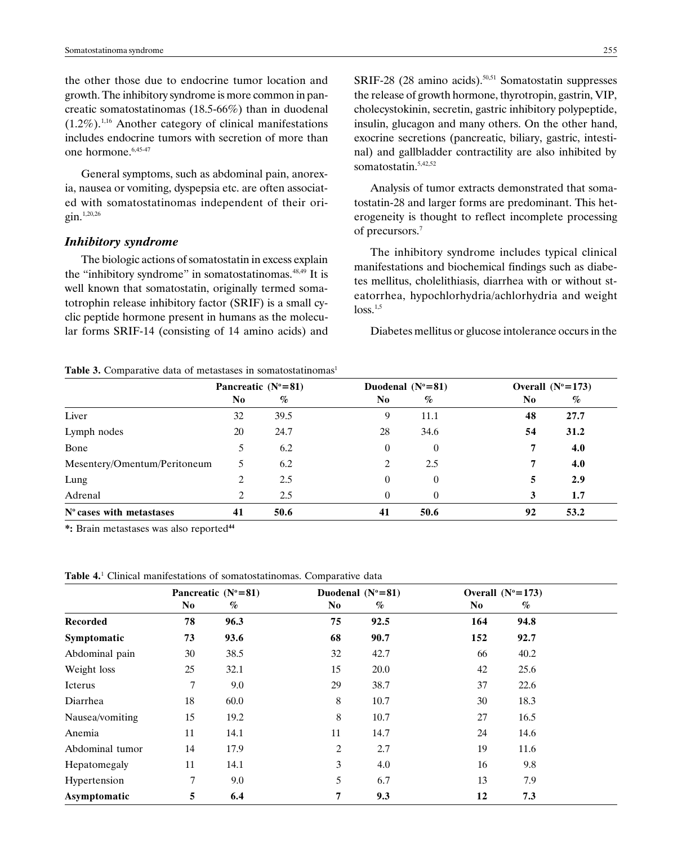the other those due to endocrine tumor location and growth. The inhibitory syndrome is more common in pancreatic somatostatinomas (18.5-66%) than in duodenal  $(1.2\%)$ <sup>1,16</sup> Another category of clinical manifestations includes endocrine tumors with secretion of more than one hormone.<sup>6,45-47</sup>

General symptoms, such as abdominal pain, anorexia, nausea or vomiting, dyspepsia etc. are often associated with somatostatinomas independent of their origin.1,20,26

#### Inhibitory syndrome

The biologic actions of somatostatin in excess explain the "inhibitory syndrome" in somatostatinomas. $48,49$  It is well known that somatostatin, originally termed somatotrophin release inhibitory factor (SRIF) is a small cyclic peptide hormone present in humans as the molecular forms SRIF-14 (consisting of 14 amino acids) and

Table 3. Comparative data of metastases in somatostatinomas<sup>1</sup>

SRIF-28 (28 amino acids).<sup>50,51</sup> Somatostatin suppresses the release of growth hormone, thyrotropin, gastrin, VIP, cholecystokinin, secretin, gastric inhibitory polypeptide, insulin, glucagon and many others. On the other hand, exocrine secretions (pancreatic, biliary, gastric, intestinal) and gallbladder contractility are also inhibited by somatostatin.5,42,52

Analysis of tumor extracts demonstrated that somatostatin-28 and larger forms are predominant. This heterogeneity is thought to reflect incomplete processing of precursors.7

The inhibitory syndrome includes typical clinical manifestations and biochemical findings such as diabetes mellitus, cholelithiasis, diarrhea with or without steatorrhea, hypochlorhydria/achlorhydria and weight  $loss.<sup>1,5</sup>$ 

Diabetes mellitus or glucose intolerance occurs in the

|                              | Pancreatic $(N^{\circ}=81)$ |      | Duodenal $(N^{\circ}=81)$ |              | Overall $(N^{\circ}=173)$ |         |
|------------------------------|-----------------------------|------|---------------------------|--------------|---------------------------|---------|
|                              | No.                         | $\%$ | No                        | %            | No.                       | %       |
| Liver                        | 32                          | 39.5 | 9                         | 11.1         | 48                        | 27.7    |
| Lymph nodes                  | 20                          | 24.7 | 28                        | 34.6         | 54                        | 31.2    |
| Bone                         | 5.                          | 6.2  | $\Omega$                  | $\mathbf{0}$ |                           | 4.0     |
| Mesentery/Omentum/Peritoneum | 5.                          | 6.2  | 2                         | 2.5          |                           | 4.0     |
| Lung                         | 2                           | 2.5  | 0                         | $\mathbf{0}$ |                           | 2.9     |
| Adrenal                      | 2                           | 2.5  |                           | $\mathbf{0}$ |                           | $1.7\,$ |
| $No$ cases with metastases   | 41                          | 50.6 | 41                        | 50.6         | 92                        | 53.2    |

\*: Brain metastases was also reported44

|  |  |  |  | <b>Table 4.</b> <sup>1</sup> Clinical manifestations of somatostatinomas. Comparative data |  |  |
|--|--|--|--|--------------------------------------------------------------------------------------------|--|--|
|--|--|--|--|--------------------------------------------------------------------------------------------|--|--|

|                 | Pancreatic $(N^{\circ}=81)$ |      |                | Duodenal $(N^{\circ}=81)$ |     | Overall $(N^{\circ}=173)$ |  |
|-----------------|-----------------------------|------|----------------|---------------------------|-----|---------------------------|--|
|                 | N <sub>0</sub>              | %    | N <sub>0</sub> | %                         | No. | %                         |  |
| <b>Recorded</b> | 78                          | 96.3 | 75             | 92.5                      | 164 | 94.8                      |  |
| Symptomatic     | 73                          | 93.6 | 68             | 90.7                      | 152 | 92.7                      |  |
| Abdominal pain  | 30                          | 38.5 | 32             | 42.7                      | 66  | 40.2                      |  |
| Weight loss     | 25                          | 32.1 | 15             | 20.0                      | 42  | 25.6                      |  |
| Icterus         | 7                           | 9.0  | 29             | 38.7                      | 37  | 22.6                      |  |
| Diarrhea        | 18                          | 60.0 | 8              | 10.7                      | 30  | 18.3                      |  |
| Nausea/vomiting | 15                          | 19.2 | 8              | 10.7                      | 27  | 16.5                      |  |
| Anemia          | 11                          | 14.1 | 11             | 14.7                      | 24  | 14.6                      |  |
| Abdominal tumor | 14                          | 17.9 | 2              | 2.7                       | 19  | 11.6                      |  |
| Hepatomegaly    | 11                          | 14.1 | 3              | 4.0                       | 16  | 9.8                       |  |
| Hypertension    | 7                           | 9.0  | 5              | 6.7                       | 13  | 7.9                       |  |
| Asymptomatic    | 5                           | 6.4  | 7              | 9.3                       | 12  | 7.3                       |  |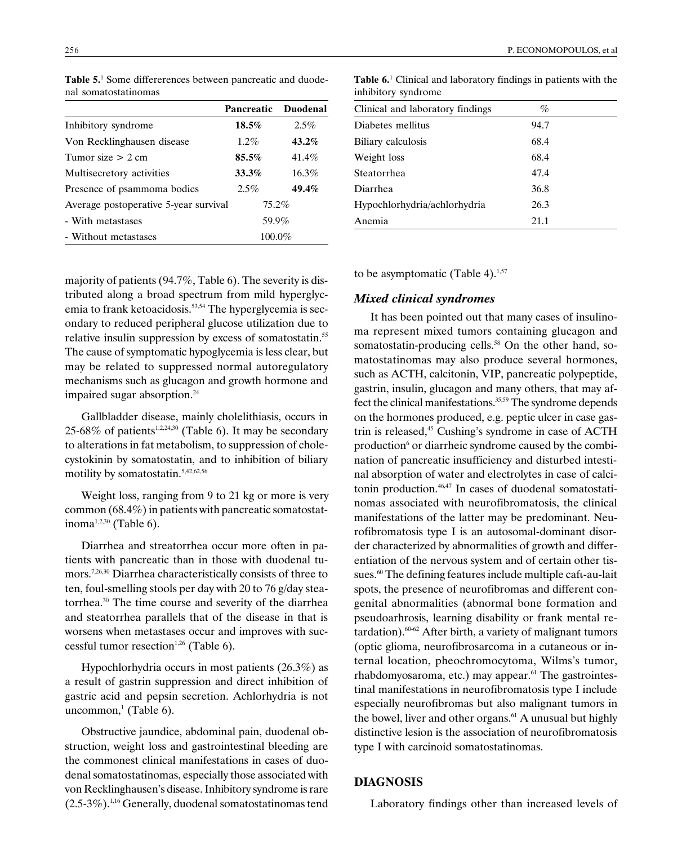|                                       | Pancreatic | Duodenal |
|---------------------------------------|------------|----------|
| Inhibitory syndrome                   | 18.5%      | 2.5%     |
| Von Recklinghausen disease            | $1.2\%$    | 43.2%    |
| Tumor size $> 2$ cm                   | 85.5%      | 41.4%    |
| Multisecretory activities             | 33.3%      | 16.3%    |
| Presence of psammoma bodies           | 2.5%       | 49.4%    |
| Average postoperative 5-year survival | 75.2%      |          |
| - With metastases                     | 59.9%      |          |
| - Without metastases                  | 100.0%     |          |

Table 5.<sup>1</sup> Some differerences between pancreatic and duodenal somatostatinomas

majority of patients (94.7%, Table 6). The severity is distributed along a broad spectrum from mild hyperglycemia to frank ketoacidosis.<sup>53,54</sup> The hyperglycemia is secondary to reduced peripheral glucose utilization due to relative insulin suppression by excess of somatostatin.<sup>55</sup> The cause of symptomatic hypoglycemia is less clear, but may be related to suppressed normal autoregulatory mechanisms such as glucagon and growth hormone and impaired sugar absorption.<sup>24</sup>

Gallbladder disease, mainly cholelithiasis, occurs in 25-68% of patients<sup>1,2,24,30</sup> (Table 6). It may be secondary to alterations in fat metabolism, to suppression of cholecystokinin by somatostatin, and to inhibition of biliary motility by somatostatin.5,42,62,56

Weight loss, ranging from 9 to 21 kg or more is very common (68.4%) in patients with pancreatic somatostatinoma<sup>1,2,30</sup> (Table 6).

Diarrhea and streatorrhea occur more often in patients with pancreatic than in those with duodenal tumors.7,26,30 Diarrhea characteristically consists of three to ten, foul-smelling stools per day with 20 to 76 g/day steatorrhea.30 The time course and severity of the diarrhea and steatorrhea parallels that of the disease in that is worsens when metastases occur and improves with successful tumor resection<sup>1,26</sup> (Table 6).

Hypochlorhydria occurs in most patients (26.3%) as a result of gastrin suppression and direct inhibition of gastric acid and pepsin secretion. Achlorhydria is not  $uncommon, (Table 6).$ 

Obstructive jaundice, abdominal pain, duodenal obstruction, weight loss and gastrointestinal bleeding are the commonest clinical manifestations in cases of duodenal somatostatinomas, especially those associated with von Recklinghausen's disease. Inhibitory syndrome is rare (2.5-3%).1,16 Generally, duodenal somatostatinomas tend

Table 6.<sup>1</sup> Clinical and laboratory findings in patients with the inhibitory syndrome

| Clinical and laboratory findings | %    |  |
|----------------------------------|------|--|
| Diabetes mellitus                | 94.7 |  |
| Biliary calculosis               | 68.4 |  |
| Weight loss                      | 68.4 |  |
| Steatorrhea                      | 47.4 |  |
| Diarrhea                         | 36.8 |  |
| Hypochlorhydria/achlorhydria     | 26.3 |  |
| Anemia                           | 21.1 |  |

to be asymptomatic (Table 4). $1,57$ 

#### Mixed clinical syndromes

It has been pointed out that many cases of insulinoma represent mixed tumors containing glucagon and somatostatin-producing cells. $58$  On the other hand, somatostatinomas may also produce several hormones, such as ACTH, calcitonin, VIP, pancreatic polypeptide, gastrin, insulin, glucagon and many others, that may affect the clinical manifestations.<sup>35,59</sup> The syndrome depends on the hormones produced, e.g. peptic ulcer in case gastrin is released,<sup>45</sup> Cushing's syndrome in case of ACTH production<sup>6</sup> or diarrheic syndrome caused by the combination of pancreatic insufficiency and disturbed intestinal absorption of water and electrolytes in case of calcitonin production.<sup>46,47</sup> In cases of duodenal somatostatinomas associated with neurofibromatosis, the clinical manifestations of the latter may be predominant. Neurofibromatosis type I is an autosomal-dominant disorder characterized by abnormalities of growth and differentiation of the nervous system and of certain other tissues.<sup>60</sup> The defining features include multiple cafu-au-lait spots, the presence of neurofibromas and different congenital abnormalities (abnormal bone formation and pseudoarhrosis, learning disability or frank mental retardation).60-62 After birth, a variety of malignant tumors (optic glioma, neurofibrosarcoma in a cutaneous or internal location, pheochromocytoma, Wilms's tumor, rhabdomyosaroma, etc.) may appear.<sup>61</sup> The gastrointestinal manifestations in neurofibromatosis type I include especially neurofibromas but also malignant tumors in the bowel, liver and other organs. $61$  A unusual but highly distinctive lesion is the association of neurofibromatosis type I with carcinoid somatostatinomas.

### DIAGNOSIS

Laboratory findings other than increased levels of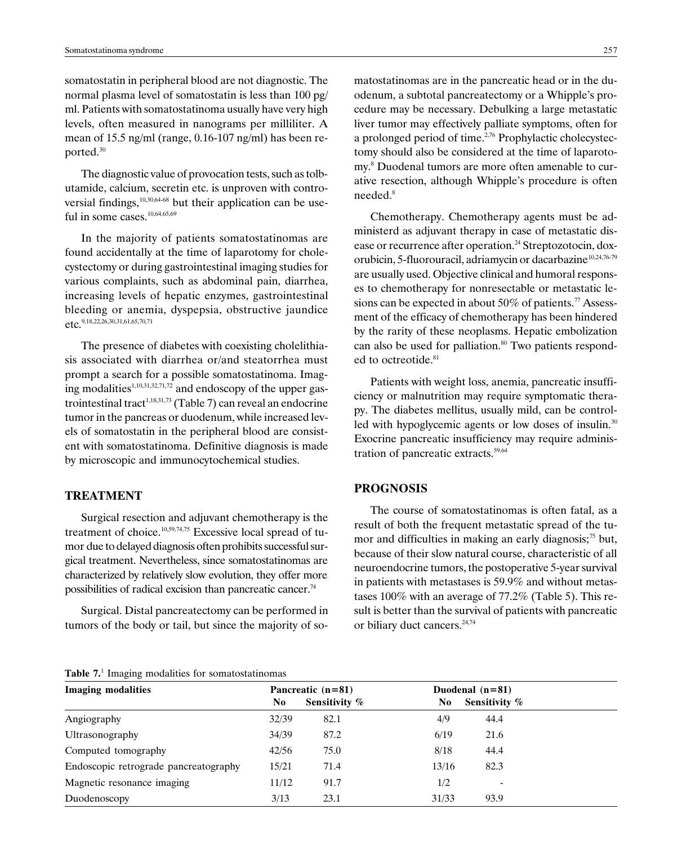somatostatin in peripheral blood are not diagnostic. The normal plasma level of somatostatin is less than 100 pg/ ml. Patients with somatostatinoma usually have very high levels, often measured in nanograms per milliliter. A mean of 15.5 ng/ml (range, 0.16-107 ng/ml) has been reported.30

The diagnostic value of provocation tests, such as tolbutamide, calcium, secretin etc. is unproven with controversial findings, $10,30,64-68$  but their application can be useful in some cases.<sup>10,64,65,69</sup>

In the majority of patients somatostatinomas are found accidentally at the time of laparotomy for cholecystectomy or during gastrointestinal imaging studies for various complaints, such as abdominal pain, diarrhea, increasing levels of hepatic enzymes, gastrointestinal bleeding or anemia, dyspepsia, obstructive jaundice etc.9,18,22,26,30,31,61,65,70,71

The presence of diabetes with coexisting cholelithiasis associated with diarrhea or/and steatorrhea must prompt a search for a possible somatostatinoma. Imaging modalities<sup>1,10,31,32,71,72</sup> and endoscopy of the upper gastrointestinal tract<sup>1,18,31,73</sup> (Table 7) can reveal an endocrine tumor in the pancreas or duodenum, while increased levels of somatostatin in the peripheral blood are consistent with somatostatinoma. Definitive diagnosis is made by microscopic and immunocytochemical studies.

## TREATMENT

Surgical resection and adjuvant chemotherapy is the treatment of choice.<sup>10,59,74,75</sup> Excessive local spread of tumor due to delayed diagnosis often prohibits successful surgical treatment. Nevertheless, since somatostatinomas are characterized by relatively slow evolution, they offer more possibilities of radical excision than pancreatic cancer.<sup>74</sup>

Surgical. Distal pancreatectomy can be performed in tumors of the body or tail, but since the majority of somatostatinomas are in the pancreatic head or in the duodenum, a subtotal pancreatectomy or a Whipple's procedure may be necessary. Debulking a large metastatic liver tumor may effectively palliate symptoms, often for a prolonged period of time.<sup>2,76</sup> Prophylactic cholecystectomy should also be considered at the time of laparotomy.8 Duodenal tumors are more often amenable to curative resection, although Whipple's procedure is often needed.8

Chemotherapy. Chemotherapy agents must be administerd as adjuvant therapy in case of metastatic disease or recurrence after operation.<sup>24</sup> Streptozotocin, doxorubicin, 5-fluorouracil, adriamycin or dacarbazine<sup>10,24,76-79</sup> are usually used. Objective clinical and humoral responses to chemotherapy for nonresectable or metastatic lesions can be expected in about 50% of patients.<sup>77</sup> Assessment of the efficacy of chemotherapy has been hindered by the rarity of these neoplasms. Hepatic embolization can also be used for palliation. $80$  Two patients responded to octreotide.<sup>81</sup>

Patients with weight loss, anemia, pancreatic insufficiency or malnutrition may require symptomatic therapy. The diabetes mellitus, usually mild, can be controlled with hypoglycemic agents or low doses of insulin.<sup>30</sup> Exocrine pancreatic insufficiency may require administration of pancreatic extracts.<sup>59,64</sup>

## PROGNOSIS

The course of somatostatinomas is often fatal, as a result of both the frequent metastatic spread of the tumor and difficulties in making an early diagnosis; $^{75}$  but, because of their slow natural course, characteristic of all neuroendocrine tumors, the postoperative 5-year survival in patients with metastases is 59.9% and without metastases 100% with an average of 77.2% (Table 5). This result is better than the survival of patients with pancreatic or biliary duct cancers.<sup>24,74</sup>

#### Table 7.<sup>1</sup> Imaging modalities for somatostatinomas

| <b>Imaging modalities</b>             | Pancreatic $(n=81)$ |               |       | Duodenal $(n=81)$ |  |  |
|---------------------------------------|---------------------|---------------|-------|-------------------|--|--|
|                                       | N <sub>0</sub>      | Sensitivity % | N0    | Sensitivity %     |  |  |
| Angiography                           | 32/39               | 82.1          | 4/9   | 44.4              |  |  |
| Ultrasonography                       | 34/39               | 87.2          | 6/19  | 21.6              |  |  |
| Computed tomography                   | 42/56               | 75.0          | 8/18  | 44.4              |  |  |
| Endoscopic retrograde pancreatography | 15/21               | 71.4          | 13/16 | 82.3              |  |  |
| Magnetic resonance imaging            | 11/12               | 91.7          | 1/2   |                   |  |  |
| Duodenoscopy                          | 3/13                | 23.1          | 31/33 | 93.9              |  |  |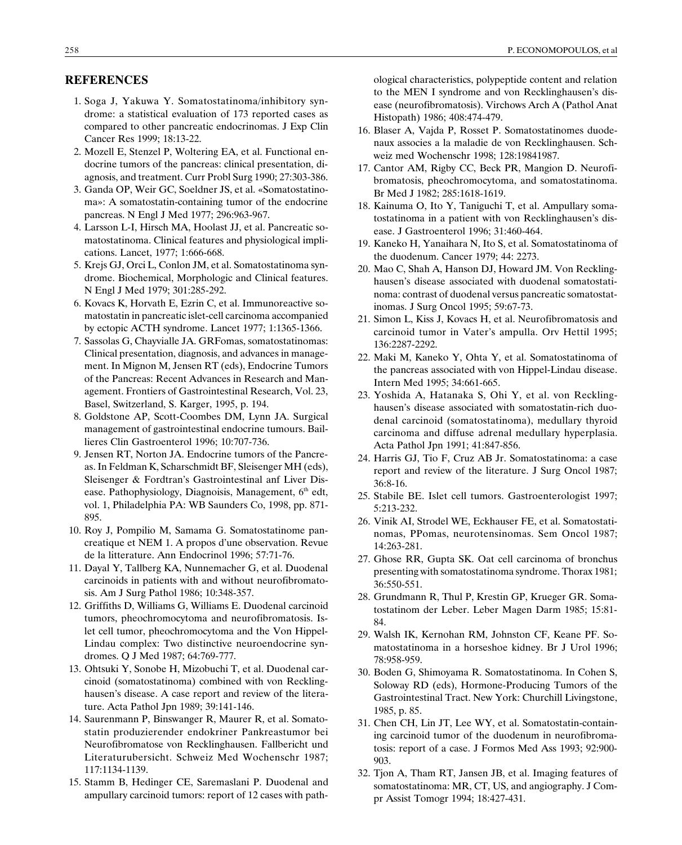## **REFERENCES**

- 1. Soga J, Yakuwa Y. Somatostatinoma/inhibitory syndrome: a statistical evaluation of 173 reported cases as compared to other pancreatic endocrinomas. J Exp Clin Cancer Res 1999; 18:13-22.
- 2. Mozell E, Stenzel P, Woltering EA, et al. Functional endocrine tumors of the pancreas: clinical presentation, diagnosis, and treatment. Curr Probl Surg 1990; 27:303-386.
- 3. Ganda OP, Weir GC, Soeldner JS, et al. «Somatostatinoma»: A somatostatin-containing tumor of the endocrine pancreas. N Engl J Med 1977; 296:963-967.
- 4. Larsson L-I, Hirsch MA, Hoolast JJ, et al. Pancreatic somatostatinoma. Clinical features and physiological implications. Lancet, 1977; 1:666-668.
- 5. Krejs GJ, Orci L, Conlon JM, et al. Somatostatinoma syndrome. Biochemical, Morphologic and Clinical features. N Engl J Med 1979; 301:285-292.
- 6. Kovacs K, Horvath E, Ezrin C, et al. Immunoreactive somatostatin in pancreatic islet-cell carcinoma accompanied by ectopic ACTH syndrome. Lancet 1977; 1:1365-1366.
- 7. Sassolas G, Chayvialle JA. GRFomas, somatostatinomas: Clinical presentation, diagnosis, and advances in management. In Mignon M, Jensen RT (eds), Endocrine Tumors of the Pancreas: Recent Advances in Research and Management. Frontiers of Gastrointestinal Research, Vol. 23, Basel, Switzerland, S. Karger, 1995, p. 194.
- 8. Goldstone AP, Scott-Coombes DM, Lynn JA. Surgical management of gastrointestinal endocrine tumours. Baillieres Clin Gastroenterol 1996; 10:707-736.
- 9. Jensen RT, Norton JA. Endocrine tumors of the Pancreas. In Feldman K, Scharschmidt BF, Sleisenger MH (eds), Sleisenger & Fordtran's Gastrointestinal anf Liver Disease. Pathophysiology, Diagnoisis, Management,  $6<sup>th</sup>$  edt, vol. 1, Philadelphia PA: WB Saunders Co, 1998, pp. 871- 895.
- 10. Roy J, Pompilio M, Samama G. Somatostatinome pancreatique et NEM 1. A propos d'une observation. Revue de la litterature. Ann Endocrinol 1996; 57:71-76.
- 11. Dayal Y, Tallberg KA, Nunnemacher G, et al. Duodenal carcinoids in patients with and without neurofibromatosis. Am J Surg Pathol 1986; 10:348-357.
- 12. Griffiths D, Williams G, Williams E. Duodenal carcinoid tumors, pheochromocytoma and neurofibromatosis. Islet cell tumor, pheochromocytoma and the Von Hippel-Lindau complex: Two distinctive neuroendocrine syndromes. Q J Med 1987; 64:769-777.
- 13. Ohtsuki Y, Sonobe H, Mizobuchi T, et al. Duodenal carcinoid (somatostatinoma) combined with von Recklinghausen's disease. A case report and review of the literature. Acta Pathol Jpn 1989; 39:141-146.
- 14. Saurenmann P, Binswanger R, Maurer R, et al. Somatostatin produzierender endokriner Pankreastumor bei Neurofibromatose von Recklinghausen. Fallbericht und Literaturubersicht. Schweiz Med Wochenschr 1987; 117:1134-1139.
- 15. Stamm B, Hedinger CE, Saremaslani P. Duodenal and ampullary carcinoid tumors: report of 12 cases with path-

ological characteristics, polypeptide content and relation to the MEN I syndrome and von Recklinghausen's disease (neurofibromatosis). Virchows Arch A (Pathol Anat Histopath) 1986; 408:474-479.

- 16. Blaser A, Vajda P, Rosset P. Somatostatinomes duodenaux associes a la maladie de von Recklinghausen. Schweiz med Wochenschr 1998; 128:19841987.
- 17. Cantor AM, Rigby CC, Beck PR, Mangion D. Neurofibromatosis, pheochromocytoma, and somatostatinoma. Br Med J 1982; 285:1618-1619.
- 18. Kainuma O, Ito Y, Taniguchi T, et al. Ampullary somatostatinoma in a patient with von Recklinghausen's disease. J Gastroenterol 1996; 31:460-464.
- 19. Kaneko H, Yanaihara N, Ito S, et al. Somatostatinoma of the duodenum. Cancer 1979; 44: 2273.
- 20. Mao C, Shah A, Hanson DJ, Howard JM. Von Recklinghausen's disease associated with duodenal somatostatinoma: contrast of duodenal versus pancreatic somatostatinomas. J Surg Oncol 1995; 59:67-73.
- 21. Simon L, Kiss J, Kovacs H, et al. Neurofibromatosis and carcinoid tumor in Vater's ampulla. Orv Hettil 1995; 136:2287-2292.
- 22. Maki M, Kaneko Y, Ohta Y, et al. Somatostatinoma of the pancreas associated with von Hippel-Lindau disease. Intern Med 1995; 34:661-665.
- 23. Yoshida A, Hatanaka S, Ohi Y, et al. von Recklinghausen's disease associated with somatostatin-rich duodenal carcinoid (somatostatinoma), medullary thyroid carcinoma and diffuse adrenal medullary hyperplasia. Acta Pathol Jpn 1991; 41:847-856.
- 24. Harris GJ, Tio F, Cruz AB Jr. Somatostatinoma: a case report and review of the literature. J Surg Oncol 1987; 36:8-16.
- 25. Stabile BE. Islet cell tumors. Gastroenterologist 1997; 5:213-232.
- 26. Vinik AI, Strodel WE, Eckhauser FE, et al. Somatostatinomas, PPomas, neurotensinomas. Sem Oncol 1987; 14:263-281.
- 27. Ghose RR, Gupta SK. Oat cell carcinoma of bronchus presenting with somatostatinoma syndrome. Thorax 1981; 36:550-551.
- 28. Grundmann R, Thul P, Krestin GP, Krueger GR. Somatostatinom der Leber. Leber Magen Darm 1985; 15:81- 84.
- 29. Walsh IK, Kernohan RM, Johnston CF, Keane PF. Somatostatinoma in a horseshoe kidney. Br J Urol 1996; 78:958-959.
- 30. Boden G, Shimoyama R. Somatostatinoma. In Cohen S, Soloway RD (eds), Hormone-Producing Tumors of the Gastrointestinal Tract. New York: Churchill Livingstone, 1985, p. 85.
- 31. Chen CH, Lin JT, Lee WY, et al. Somatostatin-containing carcinoid tumor of the duodenum in neurofibromatosis: report of a case. J Formos Med Ass 1993; 92:900- 903.
- 32. Tjon A, Tham RT, Jansen JB, et al. Imaging features of somatostatinoma: MR, CT, US, and angiography. J Compr Assist Tomogr 1994; 18:427-431.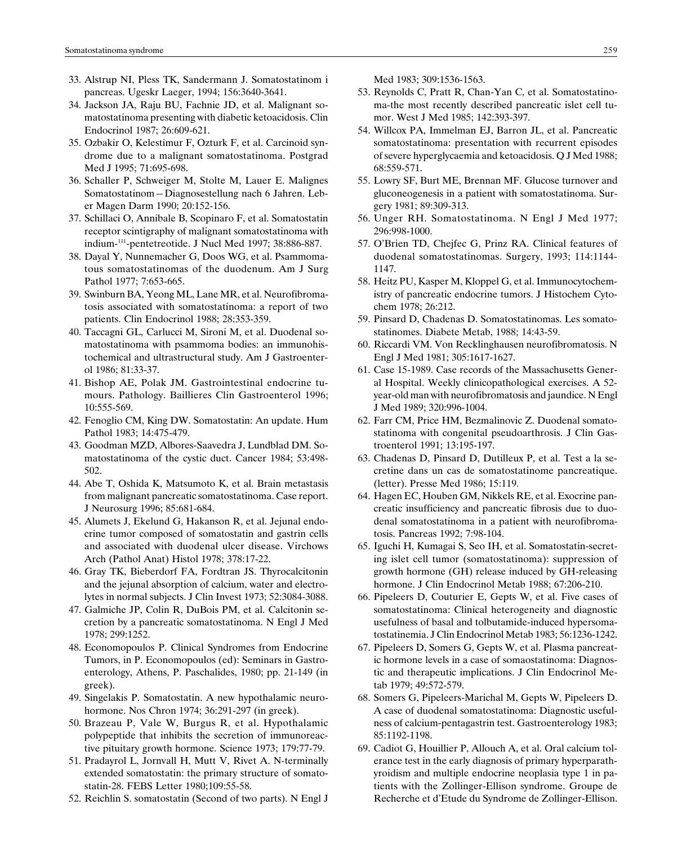- 33. Alstrup NI, Pless TK, Sandermann J. Somatostatinom i pancreas. Ugeskr Laeger, 1994; 156:3640-3641.
- 34. Jackson JA, Raju BU, Fachnie JD, et al. Malignant somatostatinoma presenting with diabetic ketoacidosis. Clin Endocrinol 1987; 26:609-621.
- 35. Ozbakir O, Kelestimur F, Ozturk F, et al. Carcinoid syndrome due to a malignant somatostatinoma. Postgrad Med J 1995; 71:695-698.
- 36. Schaller P, Schweiger M, Stolte M, Lauer E. Malignes Somatostatinom-Diagnosestellung nach 6 Jahren. Leber Magen Darm 1990; 20:152-156.
- 37. Schillaci O, Annibale B, Scopinaro F, et al. Somatostatin receptor scintigraphy of malignant somatostatinoma with indium-111-pentetreotide. J Nucl Med 1997; 38:886-887.
- 38. Dayal Y, Nunnemacher G, Doos WG, et al. Psammomatous somatostatinomas of the duodenum. Am J Surg Pathol 1977; 7:653-665.
- 39. Swinburn BA, Yeong ML, Lane MR, et al. Neurofibromatosis associated with somatostatinoma: a report of two patients. Clin Endocrinol 1988; 28:353-359.
- 40. Taccagni GL, Carlucci M, Sironi M, et al. Duodenal somatostatinoma with psammoma bodies: an immunohistochemical and ultrastructural study. Am J Gastroenterol 1986; 81:33-37.
- 41. Bishop AE, Polak JM. Gastrointestinal endocrine tumours. Pathology. Baillieres Clin Gastroenterol 1996; 10:555-569.
- 42. Fenoglio CM, King DW. Somatostatin: An update. Hum Pathol 1983; 14:475-479.
- 43. Goodman MZD, Albores-Saavedra J, Lundblad DM. Somatostatinoma of the cystic duct. Cancer 1984; 53:498- 502.
- 44. Abe T, Oshida K, Matsumoto K, et al. Brain metastasis from malignant pancreatic somatostatinoma. Case report. J Neurosurg 1996; 85:681-684.
- 45. Alumets J, Ekelund G, Hakanson R, et al. Jejunal endocrine tumor composed of somatostatin and gastrin cells and associated with duodenal ulcer disease. Virchows Arch (Pathol Anat) Histol 1978; 378:17-22.
- 46. Gray TK, Bieberdorf FA, Fordtran JS. Thyrocalcitonin and the jejunal absorption of calcium, water and electrolytes in normal subjects. J Clin Invest 1973; 52:3084-3088.
- 47. Galmiche JP, Colin R, DuBois PM, et al. Calcitonin secretion by a pancreatic somatostatinoma. N Engl J Med 1978; 299:1252.
- 48. Economopoulos P. Clinical Syndromes from Endocrine Tumors, in P. Economopoulos (ed): Seminars in Gastroenterology, Athens, P. Paschalides, 1980; pp. 21-149 (in greek).
- 49. Singelakis P. Somatostatin. A new hypothalamic neurohormone. Nos Chron 1974; 36:291-297 (in greek).
- 50. Brazeau P, Vale W, Burgus R, et al. Hypothalamic polypeptide that inhibits the secretion of immunoreactive pituitary growth hormone. Science 1973; 179:77-79.
- 51. Pradayrol L, Jornvall H, Mutt V, Rivet A. N-terminally extended somatostatin: the primary structure of somatostatin-28. FEBS Letter 1980;109:55-58.
- 52. Reichlin S. somatostatin (Second of two parts). N Engl J

Med 1983; 309:1536-1563.

- 53. Reynolds C, Pratt R, Chan-Yan C, et al. Somatostatinoma-the most recently described pancreatic islet cell tumor. West J Med 1985; 142:393-397.
- 54. Willcox PA, Immelman EJ, Barron JL, et al. Pancreatic somatostatinoma: presentation with recurrent episodes of severe hyperglycaemia and ketoacidosis. Q J Med 1988; 68:559-571.
- 55. Lowry SF, Burt ME, Brennan MF. Glucose turnover and gluconeogenesis in a patient with somatostatinoma. Surgery 1981; 89:309-313.
- 56. Unger RH. Somatostatinoma. N Engl J Med 1977; 296:998-1000.
- 57. O'Brien TD, Chejfec G, Prinz RA. Clinical features of duodenal somatostatinomas. Surgery, 1993; 114:1144- 1147.
- 58. Heitz PU, Kasper M, Kloppel G, et al. Immunocytochemistry of pancreatic endocrine tumors. J Histochem Cytochem 1978; 26:212.
- 59. Pinsard D, Chadenas D. Somatostatinomas. Les somatostatinomes. Diabete Metab, 1988; 14:43-59.
- 60. Riccardi VM. Von Recklinghausen neurofibromatosis. N Engl J Med 1981; 305:1617-1627.
- 61. Case 15-1989. Case records of the Massachusetts General Hospital. Weekly clinicopathological exercises. A 52 year-old man with neurofibromatosis and jaundice. N Engl J Med 1989; 320:996-1004.
- 62. Farr CM, Price HM, Bezmalinovic Z. Duodenal somatostatinoma with congenital pseudoarthrosis. J Clin Gastroenterol 1991; 13:195-197.
- 63. Chadenas D, Pinsard D, Dutilleux P, et al. Test a la secretine dans un cas de somatostatinome pancreatique. (letter). Presse Med 1986; 15:119.
- 64. Hagen EC, Houben GM, Nikkels RE, et al. Exocrine pancreatic insufficiency and pancreatic fibrosis due to duodenal somatostatinoma in a patient with neurofibromatosis. Pancreas 1992; 7:98-104.
- 65. Iguchi H, Kumagai S, Seo IH, et al. Somatostatin-secreting islet cell tumor (somatostatinoma): suppression of growth hormone (GH) release induced by GH-releasing hormone. J Clin Endocrinol Metab 1988; 67:206-210.
- 66. Pipeleers D, Couturier E, Gepts W, et al. Five cases of somatostatinoma: Clinical heterogeneity and diagnostic usefulness of basal and tolbutamide-induced hypersomatostatinemia. J Clin Endocrinol Metab 1983; 56:1236-1242.
- 67. Pipeleers D, Somers G, Gepts W, et al. Plasma pancreatic hormone levels in a case of somaostatinoma: Diagnostic and therapeutic implications. J Clin Endocrinol Metab 1979; 49:572-579.
- 68. Somers G, Pipeleers-Marichal M, Gepts W, Pipeleers D. A case of duodenal somatostatinoma: Diagnostic usefulness of calcium-pentagastrin test. Gastroenterology 1983; 85:1192-1198.
- 69. Cadiot G, Houillier P, Allouch A, et al. Oral calcium tolerance test in the early diagnosis of primary hyperparathyroidism and multiple endocrine neoplasia type 1 in patients with the Zollinger-Ellison syndrome. Groupe de Recherche et d'Etude du Syndrome de Zollinger-Ellison.